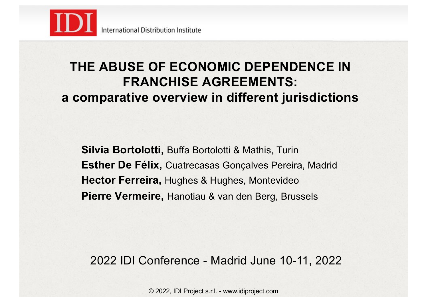

### **THE ABUSE OF ECONOMIC DEPENDENCE IN FRANCHISE AGREEMENTS: a comparative overview in different jurisdictions**

**Silvia Bortolotti,** Buffa Bortolotti & Mathis, Turin **Esther De Félix,** Cuatrecasas Gonçalves Pereira, Madrid **Hector Ferreira,** Hughes & Hughes, Montevideo **Pierre Vermeire,** Hanotiau & van den Berg, Brussels

2022 IDI Conference - Madrid June 10-11, 2022

© 2022, IDI Project s.r.l. - www.idiproject.com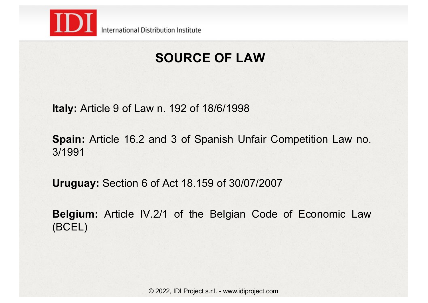

# **SOURCE OF LAW**

**Italy:** Article 9 of Law n. 192 of 18/6/1998

**Spain:** Article 16.2 and 3 of Spanish Unfair Competition Law no. 3/1991

**Uruguay:** Section 6 of Act 18.159 of 30/07/2007

**Belgium:** Article IV.2/1 of the Belgian Code of Economic Law (BCEL)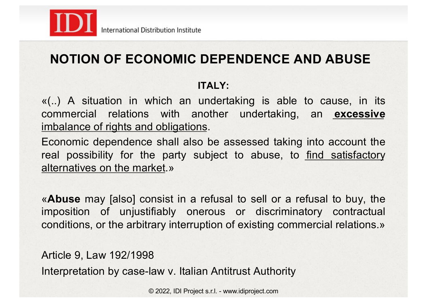

## **NOTION OF ECONOMIC DEPENDENCE AND ABUSE**

#### **ITALY**

«(..) A situation in which an undertaking is able to cause, in its commercial relations with another undertaking, an **excessive** imbalance of rights and obligations.

Economic dependence shall also be assessed taking into account the real possibility for the party subject to abuse, to find satisfactory alternatives on the market.»

«**Abuse** may [also] consist in a refusal to sell or a refusal to buy, the imposition of unjustifiably onerous or discriminatory contractual conditions, or the arbitrary interruption of existing commercial relations.»

Article 9, Law 192/1998 Interpretation by case-law v. Italian Antitrust Authority

© 2022, IDI Project s.r.l. - www.idiproject.com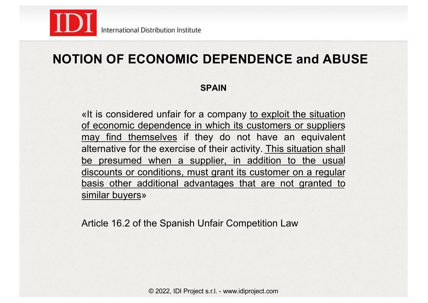

### **NOTION OF ECONOMIC DEPENDENCE and ABUSE**

#### **SPAIN**

«It is considered unfair for a company to exploit the situation of economic dependence in which its customers or suppliers may find themselves if they do not have an equivalent alternative for the exercise of their activity. This situation shall be presumed when a supplier, in addition to the usual discounts or conditions, must grant its customer on a regular basis other additional advantages that are not granted to similar buyers»

Article 16.2 of the Spanish Unfair Competition Law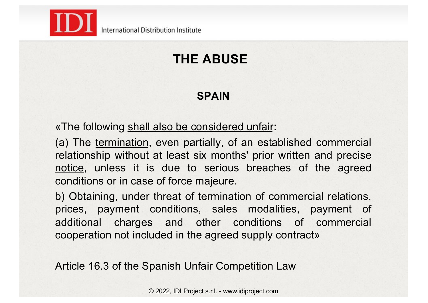

# **THE ABUSE**

#### **SPAIN**

«The following shall also be considered unfair:

(a) The termination, even partially, of an established commercial relationship without at least six months' prior written and precise notice, unless it is due to serious breaches of the agreed conditions or in case of force majeure.

b) Obtaining, under threat of termination of commercial relations, prices, payment conditions, sales modalities, payment of additional charges and other conditions of commercial cooperation not included in the agreed supply contract»

Article 16.3 of the Spanish Unfair Competition Law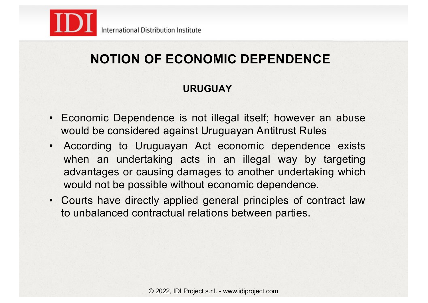

## **NOTION OF ECONOMIC DEPENDENCE**

#### **URUGUAY**

- Economic Dependence is not illegal itself; however an abuse would be considered against Uruguayan Antitrust Rules
- According to Uruguayan Act economic dependence exists when an undertaking acts in an illegal way by targeting advantages or causing damages to another undertaking which would not be possible without economic dependence.
- Courts have directly applied general principles of contract law to unbalanced contractual relations between parties.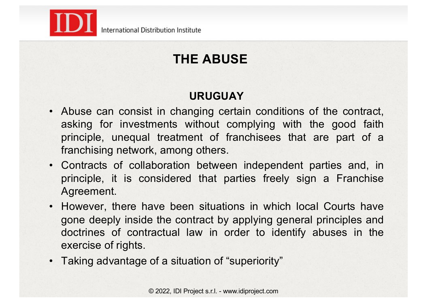

# **THE ABUSE**

#### **URUGUAY**

- Abuse can consist in changing certain conditions of the contract, asking for investments without complying with the good faith principle, unequal treatment of franchisees that are part of a franchising network, among others.
- Contracts of collaboration between independent parties and, in principle, it is considered that parties freely sign a Franchise Agreement.
- However, there have been situations in which local Courts have gone deeply inside the contract by applying general principles and doctrines of contractual law in order to identify abuses in the exercise of rights.
- Taking advantage of a situation of "superiority"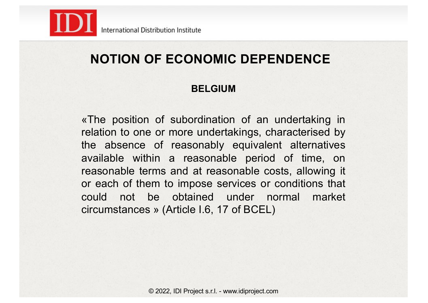

### **NOTION OF ECONOMIC DEPENDENCE**

#### **BELGIUM**

«The position of subordination of an undertaking in relation to one or more undertakings, characterised by the absence of reasonably equivalent alternatives available within a reasonable period of time, on reasonable terms and at reasonable costs, allowing it or each of them to impose services or conditions that could not be obtained under normal market circumstances » (Article I.6, 17 of BCEL)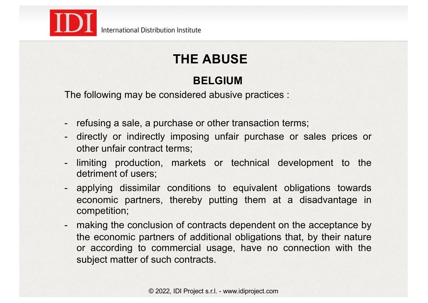

# **THE ABUSE**

#### **BELGIUM**

The following may be considered abusive practices :

- refusing a sale, a purchase or other transaction terms;
- directly or indirectly imposing unfair purchase or sales prices or other unfair contract terms;
- limiting production, markets or technical development to the detriment of users;
- applying dissimilar conditions to equivalent obligations towards economic partners, thereby putting them at a disadvantage in competition;
- making the conclusion of contracts dependent on the acceptance by the economic partners of additional obligations that, by their nature or according to commercial usage, have no connection with the subject matter of such contracts.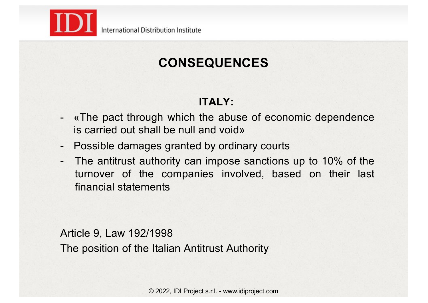

#### **ITALY:**

- «The pact through which the abuse of economic dependence is carried out shall be null and void»
- Possible damages granted by ordinary courts
- The antitrust authority can impose sanctions up to 10% of the turnover of the companies involved, based on their last financial statements

Article 9, Law 192/1998 The position of the Italian Antitrust Authority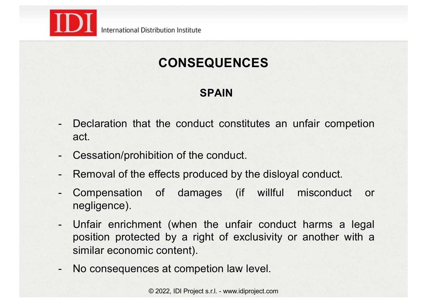

#### **SPAIN**

- Declaration that the conduct constitutes an unfair competion act.
- Cessation/prohibition of the conduct.
- Removal of the effects produced by the disloyal conduct.
- Compensation of damages (if willful misconduct or negligence).
- Unfair enrichment (when the unfair conduct harms a legal position protected by a right of exclusivity or another with a similar economic content).
- No consequences at competion law level.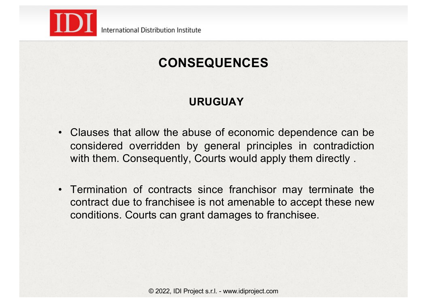

### **URUGUAY**

- Clauses that allow the abuse of economic dependence can be considered overridden by general principles in contradiction with them. Consequently, Courts would apply them directly.
- Termination of contracts since franchisor may terminate the contract due to franchisee is not amenable to accept these new conditions. Courts can grant damages to franchisee.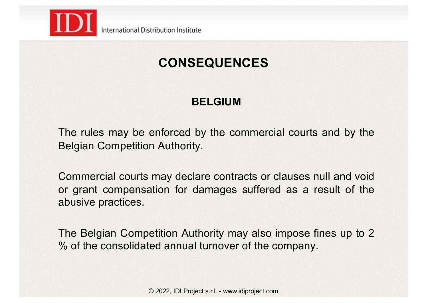

#### **BELGIUM**

The rules may be enforced by the commercial courts and by the Belgian Competition Authority.

Commercial courts may declare contracts or clauses null and void or grant compensation for damages suffered as a result of the abusive practices.

The Belgian Competition Authority may also impose fines up to 2 % of the consolidated annual turnover of the company.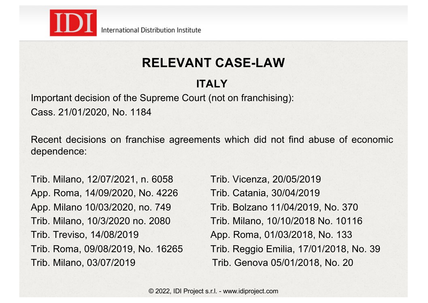

#### **ITALY**

Important decision of the Supreme Court (not on franchising): Cass. 21/01/2020, No. 1184

Recent decisions on franchise agreements which did not find abuse of economic dependence:

Trib. Milano, 12/07/2021, n. 6058 Trib. Vicenza, 20/05/2019 App. Roma, 14/09/2020, No. 4226 Trib. Catania, 30/04/2019 App. Milano 10/03/2020, no. 749 Trib. Bolzano 11/04/2019, No. 370 Trib. Treviso, 14/08/2019 App. Roma, 01/03/2018, No. 133 Trib. Milano, 03/07/2019 Trib. Genova 05/01/2018, No. 20

Trib. Milano, 10/3/2020 no. 2080 Trib. Milano, 10/10/2018 No. 10116 Trib. Roma, 09/08/2019, No. 16265 Trib. Reggio Emilia, 17/01/2018, No. 39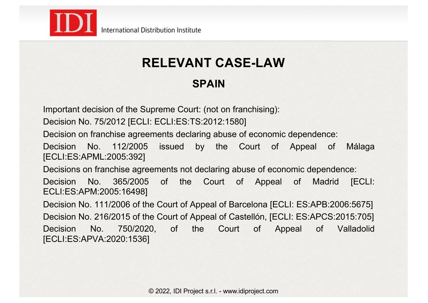

#### **SPAIN**

Important decision of the Supreme Court: (not on franchising):

Decision No. 75/2012 [ECLI: ECLI:ES:TS:2012:1580]

Decision on franchise agreements declaring abuse of economic dependence:

Decision No. 112/2005 issued by the Court of Appeal of Málaga [ECLI:ES:APML:2005:392]

Decisions on franchise agreements not declaring abuse of economic dependence:

Decision No. 365/2005 of the Court of Appeal of Madrid [ECLI: ECLI:ES:APM:2005:16498]

Decision No. 111/2006 of the Court of Appeal of Barcelona [ECLI: ES:APB:2006:5675] Decision No. 216/2015 of the Court of Appeal of Castellón, [ECLI: ES:APCS:2015:705] Decision No. 750/2020, of the Court of Appeal of Valladolid [ECLI:ES:APVA:2020:1536]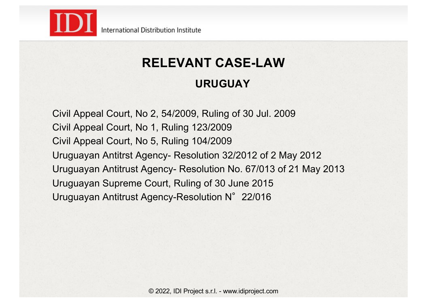

#### **URUGUAY**

Civil Appeal Court, No 2, 54/2009, Ruling of 30 Jul. 2009 Civil Appeal Court, No 1, Ruling 123/2009 Civil Appeal Court, No 5, Ruling 104/2009 Uruguayan Antitrst Agency- Resolution 32/2012 of 2 May 2012 Uruguayan Antitrust Agency- Resolution No. 67/013 of 21 May 2013 Uruguayan Supreme Court, Ruling of 30 June 2015 Uruguayan Antitrust Agency-Resolution N°22/016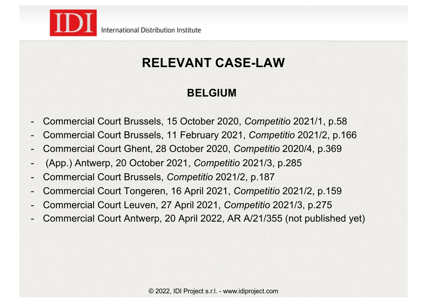

#### **BELGIUM**

- Commercial Court Brussels, 15 October 2020, *Competitio* 2021/1, p.58
- Commercial Court Brussels, 11 February 2021, *Competitio* 2021/2, p.166
- Commercial Court Ghent, 28 October 2020, *Competitio* 2020/4, p.369
- (App.) Antwerp, 20 October 2021, *Competitio* 2021/3, p.285
- Commercial Court Brussels, *Competitio* 2021/2, p.187
- Commercial Court Tongeren, 16 April 2021, *Competitio* 2021/2, p.159
- Commercial Court Leuven, 27 April 2021, *Competitio* 2021/3, p.275
- Commercial Court Antwerp, 20 April 2022, AR A/21/355 (not published yet)